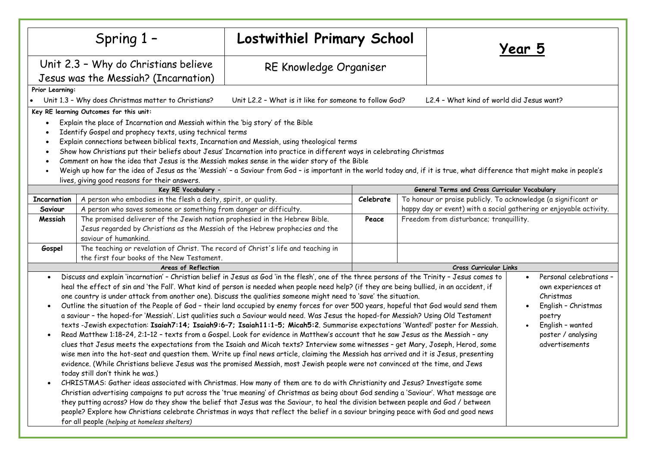|                                                                                                                                                                                                                                                                                                                                                                                                                                                                                                                                                                                                                                                                                                                                    | Spring 1-                                                                                                                                                                                                                                                                                                                                                                                                                                                                                                                                                                                                                                                                                                                                                                                                                                                                                                                                                                                                                                                                                                                                                                                                                                                                                                                                                                                                                                                                                                                                                                                                                                                                                                                                                                                                                                                                                                                                                                                                                                | Lostwithiel Primary School |           |  | <u> Year 5</u>                                                                                                                                          |  |  |
|------------------------------------------------------------------------------------------------------------------------------------------------------------------------------------------------------------------------------------------------------------------------------------------------------------------------------------------------------------------------------------------------------------------------------------------------------------------------------------------------------------------------------------------------------------------------------------------------------------------------------------------------------------------------------------------------------------------------------------|------------------------------------------------------------------------------------------------------------------------------------------------------------------------------------------------------------------------------------------------------------------------------------------------------------------------------------------------------------------------------------------------------------------------------------------------------------------------------------------------------------------------------------------------------------------------------------------------------------------------------------------------------------------------------------------------------------------------------------------------------------------------------------------------------------------------------------------------------------------------------------------------------------------------------------------------------------------------------------------------------------------------------------------------------------------------------------------------------------------------------------------------------------------------------------------------------------------------------------------------------------------------------------------------------------------------------------------------------------------------------------------------------------------------------------------------------------------------------------------------------------------------------------------------------------------------------------------------------------------------------------------------------------------------------------------------------------------------------------------------------------------------------------------------------------------------------------------------------------------------------------------------------------------------------------------------------------------------------------------------------------------------------------------|----------------------------|-----------|--|---------------------------------------------------------------------------------------------------------------------------------------------------------|--|--|
|                                                                                                                                                                                                                                                                                                                                                                                                                                                                                                                                                                                                                                                                                                                                    | Unit 2.3 - Why do Christians believe<br>Jesus was the Messiah? (Incarnation)                                                                                                                                                                                                                                                                                                                                                                                                                                                                                                                                                                                                                                                                                                                                                                                                                                                                                                                                                                                                                                                                                                                                                                                                                                                                                                                                                                                                                                                                                                                                                                                                                                                                                                                                                                                                                                                                                                                                                             | RE Knowledge Organiser     |           |  |                                                                                                                                                         |  |  |
| Prior Learning:<br>Unit 1.3 - Why does Christmas matter to Christians?<br>Key RE learning Outcomes for this unit:                                                                                                                                                                                                                                                                                                                                                                                                                                                                                                                                                                                                                  | L2.4 - What kind of world did Jesus want?                                                                                                                                                                                                                                                                                                                                                                                                                                                                                                                                                                                                                                                                                                                                                                                                                                                                                                                                                                                                                                                                                                                                                                                                                                                                                                                                                                                                                                                                                                                                                                                                                                                                                                                                                                                                                                                                                                                                                                                                |                            |           |  |                                                                                                                                                         |  |  |
| Explain the place of Incarnation and Messiah within the 'big story' of the Bible<br>Identify Gospel and prophecy texts, using technical terms<br>Explain connections between biblical texts, Incarnation and Messiah, using theological terms<br>$\bullet$<br>Show how Christians put their beliefs about Jesus' Incarnation into practice in different ways in celebrating Christmas<br>$\bullet$<br>Comment on how the idea that Jesus is the Messiah makes sense in the wider story of the Bible<br>Weigh up how far the idea of Jesus as the 'Messiah' - a Saviour from God - is important in the world today and, if it is true, what difference that might make in people's<br>lives, giving good reasons for their answers. |                                                                                                                                                                                                                                                                                                                                                                                                                                                                                                                                                                                                                                                                                                                                                                                                                                                                                                                                                                                                                                                                                                                                                                                                                                                                                                                                                                                                                                                                                                                                                                                                                                                                                                                                                                                                                                                                                                                                                                                                                                          |                            |           |  |                                                                                                                                                         |  |  |
|                                                                                                                                                                                                                                                                                                                                                                                                                                                                                                                                                                                                                                                                                                                                    | Key RE Vocabulary -                                                                                                                                                                                                                                                                                                                                                                                                                                                                                                                                                                                                                                                                                                                                                                                                                                                                                                                                                                                                                                                                                                                                                                                                                                                                                                                                                                                                                                                                                                                                                                                                                                                                                                                                                                                                                                                                                                                                                                                                                      |                            |           |  | General Terms and Cross Curricular Vocabulary                                                                                                           |  |  |
| <b>Incarnation</b>                                                                                                                                                                                                                                                                                                                                                                                                                                                                                                                                                                                                                                                                                                                 | A person who embodies in the flesh a deity, spirit, or quality.                                                                                                                                                                                                                                                                                                                                                                                                                                                                                                                                                                                                                                                                                                                                                                                                                                                                                                                                                                                                                                                                                                                                                                                                                                                                                                                                                                                                                                                                                                                                                                                                                                                                                                                                                                                                                                                                                                                                                                          |                            | Celebrate |  | To honour or praise publicly. To acknowledge (a significant or                                                                                          |  |  |
| A person who saves someone or something from danger or difficulty.<br>Saviour                                                                                                                                                                                                                                                                                                                                                                                                                                                                                                                                                                                                                                                      |                                                                                                                                                                                                                                                                                                                                                                                                                                                                                                                                                                                                                                                                                                                                                                                                                                                                                                                                                                                                                                                                                                                                                                                                                                                                                                                                                                                                                                                                                                                                                                                                                                                                                                                                                                                                                                                                                                                                                                                                                                          |                            |           |  | happy day or event) with a social gathering or enjoyable activity.                                                                                      |  |  |
| Messiah                                                                                                                                                                                                                                                                                                                                                                                                                                                                                                                                                                                                                                                                                                                            | The promised deliverer of the Jewish nation prophesied in the Hebrew Bible.<br>Jesus regarded by Christians as the Messiah of the Hebrew prophecies and the<br>saviour of humankind.                                                                                                                                                                                                                                                                                                                                                                                                                                                                                                                                                                                                                                                                                                                                                                                                                                                                                                                                                                                                                                                                                                                                                                                                                                                                                                                                                                                                                                                                                                                                                                                                                                                                                                                                                                                                                                                     |                            | Peace     |  | Freedom from disturbance; tranquillity.                                                                                                                 |  |  |
| Gospel                                                                                                                                                                                                                                                                                                                                                                                                                                                                                                                                                                                                                                                                                                                             | The teaching or revelation of Christ. The record of Christ's life and teaching in                                                                                                                                                                                                                                                                                                                                                                                                                                                                                                                                                                                                                                                                                                                                                                                                                                                                                                                                                                                                                                                                                                                                                                                                                                                                                                                                                                                                                                                                                                                                                                                                                                                                                                                                                                                                                                                                                                                                                        |                            |           |  |                                                                                                                                                         |  |  |
|                                                                                                                                                                                                                                                                                                                                                                                                                                                                                                                                                                                                                                                                                                                                    | the first four books of the New Testament.<br>Areas of Reflection                                                                                                                                                                                                                                                                                                                                                                                                                                                                                                                                                                                                                                                                                                                                                                                                                                                                                                                                                                                                                                                                                                                                                                                                                                                                                                                                                                                                                                                                                                                                                                                                                                                                                                                                                                                                                                                                                                                                                                        |                            |           |  |                                                                                                                                                         |  |  |
|                                                                                                                                                                                                                                                                                                                                                                                                                                                                                                                                                                                                                                                                                                                                    | Cross Curricular Links                                                                                                                                                                                                                                                                                                                                                                                                                                                                                                                                                                                                                                                                                                                                                                                                                                                                                                                                                                                                                                                                                                                                                                                                                                                                                                                                                                                                                                                                                                                                                                                                                                                                                                                                                                                                                                                                                                                                                                                                                   |                            |           |  |                                                                                                                                                         |  |  |
| $\bullet$<br>$\bullet$                                                                                                                                                                                                                                                                                                                                                                                                                                                                                                                                                                                                                                                                                                             | Discuss and explain 'incarnation' - Christian belief in Jesus as God 'in the flesh', one of the three persons of the Trinity - Jesus comes to<br>heal the effect of sin and 'the Fall'. What kind of person is needed when people need help? (if they are being bullied, in an accident, if<br>one country is under attack from another one). Discuss the qualities someone might need to 'save' the situation.<br>Outline the situation of the People of God - their land occupied by enemy forces for over 500 years, hopeful that God would send them<br>a saviour - the hoped-for 'Messiah'. List qualities such a Saviour would need. Was Jesus the hoped-for Messiah? Using Old Testament<br>texts -Jewish expectation: Isaiah7:14; Isaiah9:6-7; Isaiah11:1-5; Micah5:2. Summarise expectations 'Wanted!' poster for Messiah.<br>Read Matthew 1:18-24, 2:1-12 - texts from a Gospel. Look for evidence in Matthew's account that he saw Jesus as the Messiah - any<br>clues that Jesus meets the expectations from the Isaiah and Micah texts? Interview some witnesses - get Mary, Joseph, Herod, some<br>wise men into the hot-seat and question them. Write up final news article, claiming the Messiah has arrived and it is Jesus, presenting<br>evidence. (While Christians believe Jesus was the promised Messiah, most Jewish people were not convinced at the time, and Jews<br>today still don't think he was.)<br>CHRISTMAS: Gather ideas associated with Christmas. How many of them are to do with Christianity and Jesus? Investigate some<br>Christian advertising campaigns to put across the 'true meaning' of Christmas as being about God sending a 'Saviour'. What message are<br>they putting across? How do they show the belief that Jesus was the Saviour, to heal the division between people and God / between<br>people? Explore how Christians celebrate Christmas in ways that reflect the belief in a saviour bringing peace with God and good news<br>for all people (helping at homeless shelters) |                            |           |  | Personal celebrations -<br>own experiences at<br>Christmas<br>English - Christmas<br>poetry<br>English - wanted<br>poster / analysing<br>advertisements |  |  |